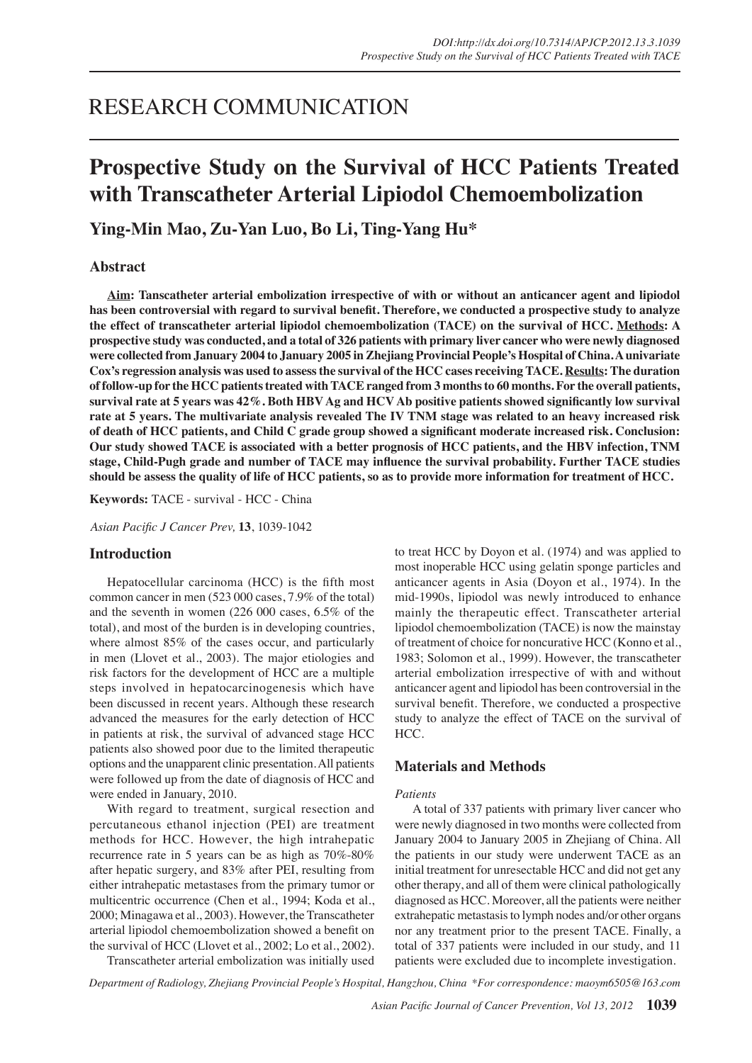# RESEARCH COMMUNICATION

# **Prospective Study on the Survival of HCC Patients Treated with Transcatheter Arterial Lipiodol Chemoembolization**

**Ying-Min Mao, Zu-Yan Luo, Bo Li, Ting-Yang Hu\***

## **Abstract**

**Aim: Tanscatheter arterial embolization irrespective of with or without an anticancer agent and lipiodol has been controversial with regard to survival benefit. Therefore, we conducted a prospective study to analyze the effect of transcatheter arterial lipiodol chemoembolization (TACE) on the survival of HCC. Methods: A prospective study was conducted, and a total of 326 patients with primary liver cancer who were newly diagnosed were collected from January 2004 to January 2005 in Zhejiang Provincial People's Hospital of China. A univariate Cox's regression analysis was used to assess the survival of the HCC cases receiving TACE. Results: The duration of follow-up for the HCC patients treated with TACE ranged from 3 months to 60 months. For the overall patients, survival rate at 5 years was 42%. Both HBV Ag and HCV Ab positive patients showed significantly low survival rate at 5 years. The multivariate analysis revealed The IV TNM stage was related to an heavy increased risk of death of HCC patients, and Child C grade group showed a significant moderate increased risk. Conclusion: Our study showed TACE is associated with a better prognosis of HCC patients, and the HBV infection, TNM stage, Child-Pugh grade and number of TACE may influence the survival probability. Further TACE studies should be assess the quality of life of HCC patients, so as to provide more information for treatment of HCC.**

**Keywords:** TACE - survival - HCC - China

*Asian Pacific J Cancer Prev,* **13**, 1039-1042

### **Introduction**

 Hepatocellular carcinoma (HCC) is the fifth most common cancer in men (523 000 cases, 7.9% of the total) and the seventh in women (226 000 cases, 6.5% of the total), and most of the burden is in developing countries, where almost 85% of the cases occur, and particularly in men (Llovet et al., 2003). The major etiologies and risk factors for the development of HCC are a multiple steps involved in hepatocarcinogenesis which have been discussed in recent years. Although these research advanced the measures for the early detection of HCC in patients at risk, the survival of advanced stage HCC patients also showed poor due to the limited therapeutic options and the unapparent clinic presentation.All patients were followed up from the date of diagnosis of HCC and were ended in January, 2010.

 With regard to treatment, surgical resection and percutaneous ethanol injection (PEI) are treatment methods for HCC. However, the high intrahepatic recurrence rate in 5 years can be as high as 70%-80% after hepatic surgery, and 83% after PEI, resulting from either intrahepatic metastases from the primary tumor or multicentric occurrence (Chen et al., 1994; Koda et al., 2000; Minagawa et al., 2003). However, the Transcatheter arterial lipiodol chemoembolization showed a benefit on the survival of HCC (Llovet et al., 2002; Lo et al., 2002).

 Transcatheter arterial embolization was initially used

to treat HCC by Doyon et al. (1974) and was applied to most inoperable HCC using gelatin sponge particles and anticancer agents in Asia (Doyon et al., 1974). In the mid-1990s, lipiodol was newly introduced to enhance mainly the therapeutic effect. Transcatheter arterial lipiodol chemoembolization (TACE) is now the mainstay of treatment of choice for noncurative HCC (Konno et al., 1983; Solomon et al., 1999). However, the transcatheter arterial embolization irrespective of with and without anticancer agent and lipiodol has been controversial in the survival benefit. Therefore, we conducted a prospective study to analyze the effect of TACE on the survival of HCC.

# **Materials and Methods**

### *Patients*

A total of 337 patients with primary liver cancer who were newly diagnosed in two months were collected from January 2004 to January 2005 in Zhejiang of China. All the patients in our study were underwent TACE as an initial treatment for unresectable HCC and did not get any other therapy, and all of them were clinical pathologically diagnosed as HCC. Moreover, all the patients were neither extrahepatic metastasisto lymph nodes and/or other organs nor any treatment prior to the present TACE. Finally, a total of 337 patients were included in our study, and 11 patients were excluded due to incomplete investigation.

*Department of Radiology, Zhejiang Provincial People's Hospital, Hangzhou, China \*For correspondence: maoym6505@163.com*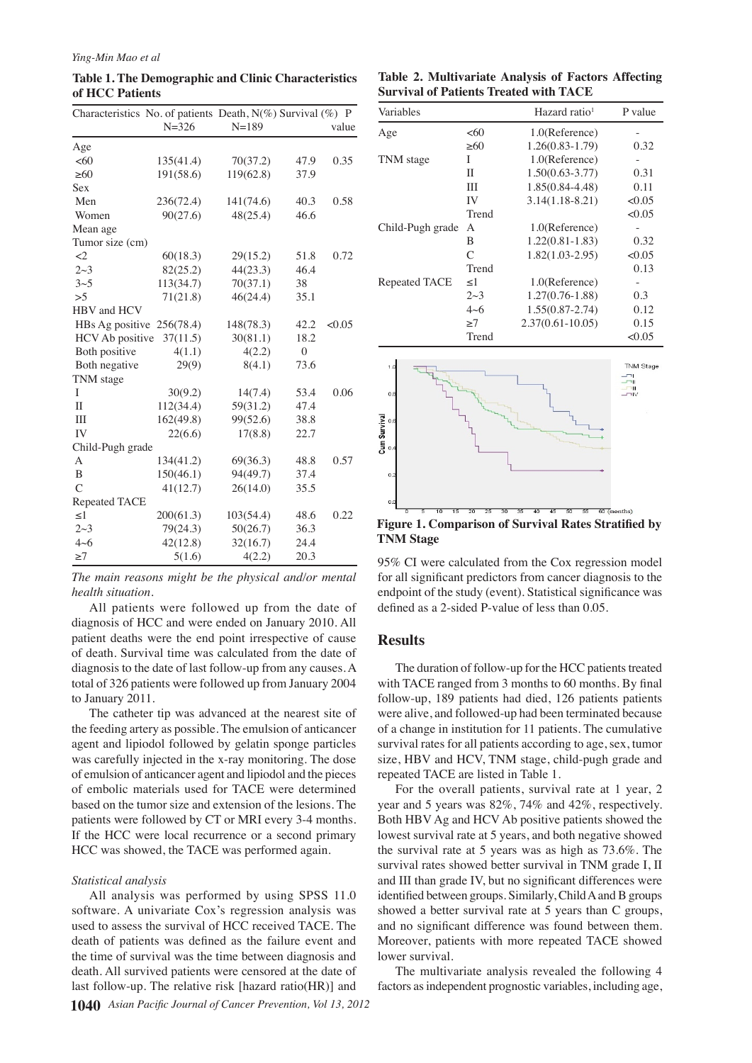**Table 1. The Demographic and Clinic Characteristics of HCC Patients**

|                      | Characteristics No. of patients Death, N(%) Survival (%) P |           |          |        |
|----------------------|------------------------------------------------------------|-----------|----------|--------|
|                      | $N = 326$                                                  | $N = 189$ |          | value  |
| Age                  |                                                            |           |          |        |
| <60                  | 135(41.4)                                                  | 70(37.2)  | 47.9     | 0.35   |
| $\geq 60$            | 191(58.6)                                                  | 119(62.8) | 37.9     |        |
| <b>Sex</b>           |                                                            |           |          |        |
| Men                  | 236(72.4)                                                  | 141(74.6) | 40.3     | 0.58   |
| Women                | 90(27.6)                                                   | 48(25.4)  | 46.6     |        |
| Mean age             |                                                            |           |          |        |
| Tumor size (cm)      |                                                            |           |          |        |
| $\leq$ 2             | 60(18.3)                                                   | 29(15.2)  | 51.8     | 0.72   |
| $2 \sim 3$           | 82(25.2)                                                   | 44(23.3)  | 46.4     |        |
| 3 <sub>5</sub>       | 113(34.7)                                                  | 70(37.1)  | 38       |        |
| >5                   | 71(21.8)                                                   | 46(24.4)  | 35.1     |        |
| HBV and HCV          |                                                            |           |          |        |
| HBs Ag positive      | 256(78.4)                                                  | 148(78.3) | 42.2     | < 0.05 |
| HCV Ab positive      | 37(11.5)                                                   | 30(81.1)  | 18.2     |        |
| Both positive        | 4(1.1)                                                     | 4(2.2)    | $\theta$ |        |
| Both negative        | 29(9)                                                      | 8(4.1)    | 73.6     |        |
| TNM stage            |                                                            |           |          |        |
| I                    | 30(9.2)                                                    | 14(7.4)   | 53.4     | 0.06   |
| $\mathbf{I}$         | 112(34.4)                                                  | 59(31.2)  | 47.4     |        |
| III                  | 162(49.8)                                                  | 99(52.6)  | 38.8     |        |
| IV                   | 22(6.6)                                                    | 17(8.8)   | 22.7     |        |
| Child-Pugh grade     |                                                            |           |          |        |
| A                    | 134(41.2)                                                  | 69(36.3)  | 48.8     | 0.57   |
| B                    | 150(46.1)                                                  | 94(49.7)  | 37.4     |        |
| $\overline{C}$       | 41(12.7)                                                   | 26(14.0)  | 35.5     |        |
| <b>Repeated TACE</b> |                                                            |           |          |        |
| $\leq$ 1             | 200(61.3)                                                  | 103(54.4) | 48.6     | 0.22   |
| $2 \sim 3$           | 79(24.3)                                                   | 50(26.7)  | 36.3     |        |
| $4 - 6$              | 42(12.8)                                                   | 32(16.7)  | 24.4     |        |
| $\geq 7$             | 5(1.6)                                                     | 4(2.2)    | 20.3     |        |

*The main reasons might be the physical and/or mental health situation.*

 All patients were followed up from the date of diagnosis of HCC and were ended on January 2010. All patient deaths were the end point irrespective of cause of death. Survival time was calculated from the date of diagnosis to the date of last follow-up from any causes. A total of 326 patients were followed up from January 2004 to January 2011.

 The catheter tip was advanced at the nearest site of the feeding artery as possible. The emulsion of anticancer agent and lipiodol followed by gelatin sponge particles was carefully injected in the x-ray monitoring. The dose of emulsion of anticancer agent and lipiodol and the pieces of embolic materials used for TACE were determined based on the tumor size and extension of the lesions. The patients were followed by CT or MRI every 3-4 months. If the HCC were local recurrence or a second primary HCC was showed, the TACE was performed again.

### *Statistical analysis*

 All analysis was performed by using SPSS 11.0 software. A univariate Cox's regression analysis was used to assess the survival of HCC received TACE. The death of patients was defined as the failure event and the time of survival was the time between diagnosis and death. All survived patients were censored at the date of last follow-up. The relative risk [hazard ratio(HR)] and

|  | Table 2. Multivariate Analysis of Factors Affecting |  |  |
|--|-----------------------------------------------------|--|--|
|  | <b>Survival of Patients Treated with TACE</b>       |  |  |

| Variables        |            | Hazard ratio <sup>1</sup> | P value                          |
|------------------|------------|---------------------------|----------------------------------|
| Age              | <60        | 1.0(Reference)            |                                  |
|                  | >60        | $1.26(0.83 - 1.79)$       | 0.32                             |
| TNM stage        | I          | 1.0(Reference)            |                                  |
|                  | Π          | $1.50(0.63 - 3.77)$       | 0.31                             |
|                  | Ш          | 1.85(0.84-4.48)           | 0.11                             |
|                  | IV         | $3.14(1.18-8.21)$         | <0.05                            |
|                  | Trend      |                           | <0.05                            |
| Child-Pugh grade | A          | 1.0(Reference)            |                                  |
|                  | B          | $1.22(0.81 - 1.83)$       | 0.32                             |
|                  | C          | $1.82(1.03-2.95)$         | <0.05                            |
|                  | Trend      |                           | 0.13                             |
| Repeated TACE    | $\leq$ 1   | 1.0(Reference)            |                                  |
|                  | $2 \sim 3$ | $1.27(0.76-1.88)$         | 0.3                              |
|                  | $4 - 6$    | $1.55(0.87 - 2.74)$       | 0.12                             |
|                  | >7         | $2.37(0.61 - 10.05)$      | 0.15                             |
|                  | Trend      |                           | <0.05                            |
| 1.0<br>0.8       |            |                           | <b>TNM Stage</b><br>m<br>Ш<br>лw |



95% CI were calculated from the Cox regression model **TNM Stage**

# for all significant predictors from cancer diagnosis to the endpoint of the study (event). Statistical significance was defined as a 2-sided P-value of less than 0.05.

### **Results**

The duration of follow-up for the HCC patients treated with TACE ranged from 3 months to 60 months. By final follow-up, 189 patients had died, 126 patients patients were alive, and followed-up had been terminated because of a change in institution for 11 patients. The cumulative survival rates for all patients according to age, sex, tumor size, HBV and HCV, TNM stage, child-pugh grade and repeated TACE are listed in Table 1.

 For the overall patients, survival rate at 1 year, 2 year and 5 years was 82%, 74% and 42%, respectively. Both HBV Ag and HCV Ab positive patients showed the lowest survival rate at 5 years, and both negative showed the survival rate at 5 years was as high as 73.6%. The survival rates showed better survival in TNM grade I, II and III than grade IV, but no significant differences were identified between groups. Similarly, Child A and B groups showed a better survival rate at 5 years than C groups, and no significant difference was found between them. Moreover, patients with more repeated TACE showed lower survival.

 The multivariate analysis revealed the following 4 factors asindependent prognostic variables, including age,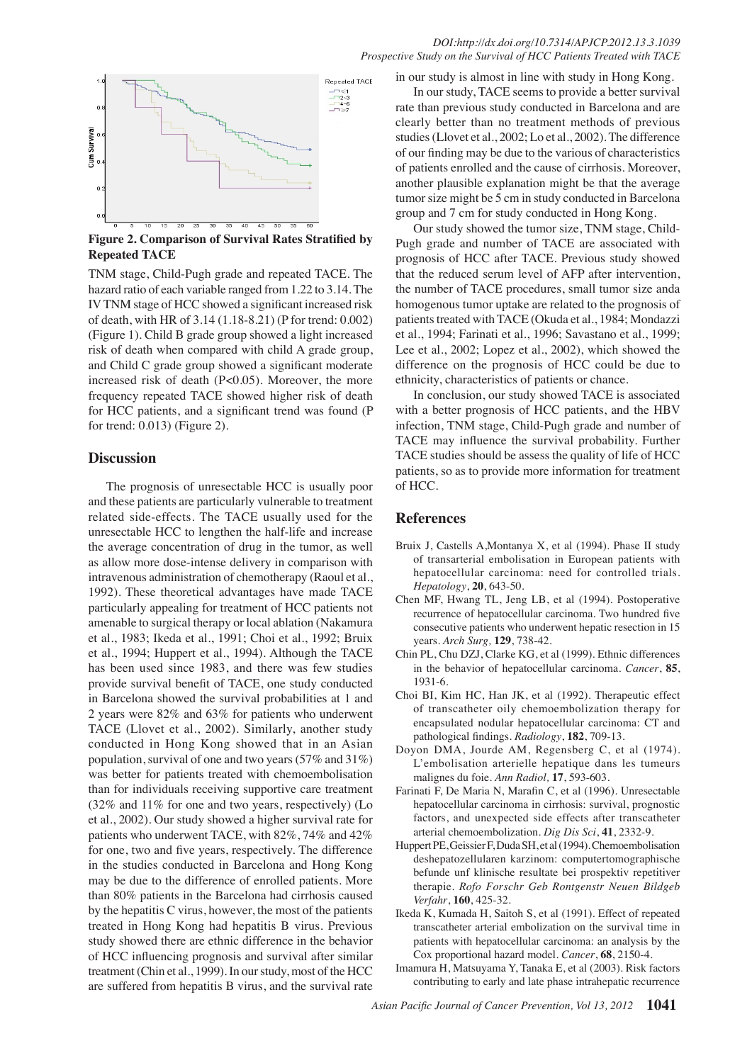### *DOI:http://dx.doi.org/10.7314/APJCP.2012.13.3.1039 Prospective Study on the Survival of HCC Patients Treated with TACE*



**Figure 2. Comparison of Survival Rates Stratified by Repeated TACE**

TNM stage, Child-Pugh grade and repeated TACE. The hazard ratio of each variable ranged from 1.22 to 3.14. The IVTNM stage of HCC showed a significant increased risk of death, with HR of 3.14 (1.18-8.21) (P for trend: 0.002) (Figure 1). Child B grade group showed a light increased risk of death when compared with child A grade group, and Child C grade group showed a significant moderate increased risk of death (P<0.05). Moreover, the more frequency repeated TACE showed higher risk of death for HCC patients, and a significant trend was found (P for trend: 0.013) (Figure 2).

### **Discussion**

The prognosis of unresectable HCC is usually poor and these patients are particularly vulnerable to treatment related side-effects. The TACE usually used for the unresectable HCC to lengthen the half-life and increase the average concentration of drug in the tumor, as well as allow more dose-intense delivery in comparison with intravenous administration of chemotherapy (Raoul et al., 1992). These theoretical advantages have made TACE particularly appealing for treatment of HCC patients not amenable to surgical therapy or local ablation (Nakamura et al., 1983; Ikeda et al., 1991; Choi et al., 1992; Bruix et al., 1994; Huppert et al., 1994). Although the TACE has been used since 1983, and there was few studies provide survival benefit of TACE, one study conducted in Barcelona showed the survival probabilities at 1 and 2 years were 82% and 63% for patients who underwent TACE (Llovet et al., 2002). Similarly, another study conducted in Hong Kong showed that in an Asian population, survival of one and two years (57% and 31%) was better for patients treated with chemoembolisation than for individuals receiving supportive care treatment (32% and 11% for one and two years, respectively) (Lo et al., 2002). Our study showed a higher survival rate for patients who underwent TACE, with 82%, 74% and 42% for one, two and five years, respectively. The difference in the studies conducted in Barcelona and Hong Kong may be due to the difference of enrolled patients. More than 80% patients in the Barcelona had cirrhosis caused by the hepatitis C virus, however, the most of the patients treated in Hong Kong had hepatitis B virus. Previous study showed there are ethnic difference in the behavior of HCC influencing prognosis and survival after similar treatment (Chin et al., 1999). In our study, most of the HCC are suffered from hepatitis B virus, and the survival rate

in our study is almost in line with study in Hong Kong.

In our study, TACE seems to provide a better survival rate than previous study conducted in Barcelona and are clearly better than no treatment methods of previous studies(Llovet et al., 2002; Lo et al., 2002). The difference of our finding may be due to the various of characteristics of patients enrolled and the cause of cirrhosis. Moreover, another plausible explanation might be that the average tumor size might be 5 cm in study conducted in Barcelona group and 7 cm for study conducted in Hong Kong.

Our study showed the tumor size, TNM stage, Child-Pugh grade and number of TACE are associated with prognosis of HCC after TACE. Previous study showed that the reduced serum level of AFP after intervention, the number of TACE procedures, small tumor size anda homogenous tumor uptake are related to the prognosis of patients treated with TACE (Okuda et al., 1984; Mondazzi et al., 1994; Farinati et al., 1996; Savastano et al., 1999; Lee et al., 2002; Lopez et al., 2002), which showed the difference on the prognosis of HCC could be due to ethnicity, characteristics of patients or chance.

In conclusion, our study showed TACE is associated with a better prognosis of HCC patients, and the HBV infection, TNM stage, Child-Pugh grade and number of TACE may influence the survival probability. Further TACE studies should be assess the quality of life of HCC patients, so as to provide more information for treatment of HCC.

## **References**

- Bruix J, Castells A,Montanya X, et al (1994). Phase II study of transarterial embolisation in European patients with hepatocellular carcinoma: need for controlled trials. *Hepatology*, **20**, 643-50.
- Chen MF, Hwang TL, Jeng LB, et al (1994). Postoperative recurrence of hepatocellular carcinoma. Two hundred five consecutive patients who underwent hepatic resection in 15 years. *Arch Surg,* **129**, 738-42.
- Chin PL, Chu DZJ, Clarke KG, et al (1999). Ethnic differences in the behavior of hepatocellular carcinoma. *Cancer*, **85**, 1931-6.
- Choi BI, Kim HC, Han JK, et al (1992). Therapeutic effect of transcatheter oily chemoembolization therapy for encapsulated nodular hepatocellular carcinoma: CT and pathological findings. *Radiology*, **182**, 709-13.
- Doyon DMA, Jourde AM, Regensberg C, et al (1974). L'embolisation arterielle hepatique dans les tumeurs malignes du foie. *Ann Radiol,* **17**, 593-603.
- Farinati F, De Maria N, Marafin C, et al (1996). Unresectable hepatocellular carcinoma in cirrhosis: survival, prognostic factors, and unexpected side effects after transcatheter arterial chemoembolization. *Dig Dis Sci*, **41**, 2332-9.
- Huppert PE, Geissier F, Duda SH, et al (1994). Chemoembolisation deshepatozellularen karzinom: computertomographische befunde unf klinische resultate bei prospektiv repetitiver therapie. *Rofo Forschr Geb Rontgenstr Neuen Bildgeb Verfahr*, **160**, 425-32.
- Ikeda K, Kumada H, Saitoh S, et al (1991). Effect of repeated transcatheter arterial embolization on the survival time in patients with hepatocellular carcinoma: an analysis by the Cox proportional hazard model. *Cancer*, **68**, 2150-4.
- Imamura H, Matsuyama Y, Tanaka E, et al (2003). Risk factors contributing to early and late phase intrahepatic recurrence